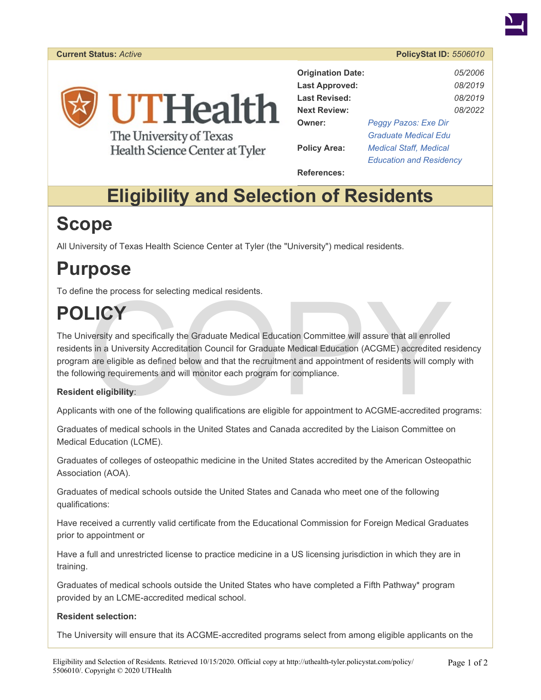

The University of Texas Health Science Center at Tyler

| <b>Origination Date:</b> |                                | 05/2006 |
|--------------------------|--------------------------------|---------|
| <b>Last Approved:</b>    |                                | 08/2019 |
| <b>Last Revised:</b>     |                                | 08/2019 |
| <b>Next Review:</b>      |                                | 08/2022 |
| Owner:                   | Peggy Pazos: Exe Dir           |         |
|                          | <b>Graduate Medical Edu</b>    |         |
| <b>Policy Area:</b>      | <b>Medical Staff, Medical</b>  |         |
|                          | <b>Education and Residency</b> |         |

**References:** 

# **Eligibility and Selection of Residents**

## **Scope**

All University of Texas Health Science Center at Tyler (the "University") medical residents.

### **Purpose**

To define the process for selecting medical residents.

# **POLICY**

LICY<br>
versity and specifically the Graduate Medical Education Committee will assure that all enrolled<br>
s in a University Accreditation Council for Graduate Medical Education (ACGME) accredited response are eligible as defi The University and specifically the Graduate Medical Education Committee will assure that all enrolled residents in a University Accreditation Council for Graduate Medical Education (ACGME) accredited residency program are eligible as defined below and that the recruitment and appointment of residents will comply with the following requirements and will monitor each program for compliance.

#### **Resident eligibility**:

Applicants with one of the following qualifications are eligible for appointment to ACGME-accredited programs:

Graduates of medical schools in the United States and Canada accredited by the Liaison Committee on Medical Education (LCME).

Graduates of colleges of osteopathic medicine in the United States accredited by the American Osteopathic Association (AOA).

Graduates of medical schools outside the United States and Canada who meet one of the following qualifications:

Have received a currently valid certificate from the Educational Commission for Foreign Medical Graduates prior to appointment or

Have a full and unrestricted license to practice medicine in a US licensing jurisdiction in which they are in training.

Graduates of medical schools outside the United States who have completed a Fifth Pathway\* program provided by an LCME-accredited medical school.

#### **Resident selection:**

The University will ensure that its ACGME-accredited programs select from among eligible applicants on the